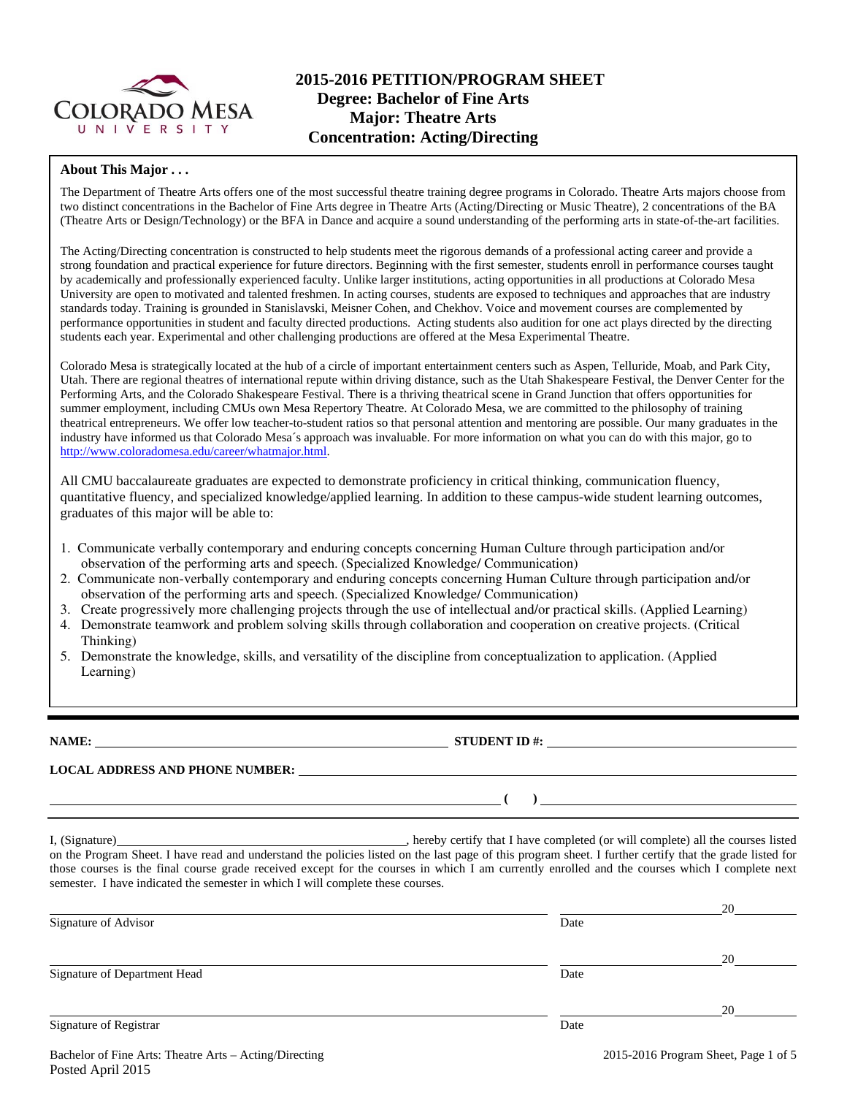

# **2015-2016 PETITION/PROGRAM SHEET Degree: Bachelor of Fine Arts Major: Theatre Arts Concentration: Acting/Directing**

#### **About This Major . . .**

The Department of Theatre Arts offers one of the most successful theatre training degree programs in Colorado. Theatre Arts majors choose from two distinct concentrations in the Bachelor of Fine Arts degree in Theatre Arts (Acting/Directing or Music Theatre), 2 concentrations of the BA (Theatre Arts or Design/Technology) or the BFA in Dance and acquire a sound understanding of the performing arts in state-of-the-art facilities.

The Acting/Directing concentration is constructed to help students meet the rigorous demands of a professional acting career and provide a strong foundation and practical experience for future directors. Beginning with the first semester, students enroll in performance courses taught by academically and professionally experienced faculty. Unlike larger institutions, acting opportunities in all productions at Colorado Mesa University are open to motivated and talented freshmen. In acting courses, students are exposed to techniques and approaches that are industry standards today. Training is grounded in Stanislavski, Meisner Cohen, and Chekhov. Voice and movement courses are complemented by performance opportunities in student and faculty directed productions. Acting students also audition for one act plays directed by the directing students each year. Experimental and other challenging productions are offered at the Mesa Experimental Theatre.

Colorado Mesa is strategically located at the hub of a circle of important entertainment centers such as Aspen, Telluride, Moab, and Park City, Utah. There are regional theatres of international repute within driving distance, such as the Utah Shakespeare Festival, the Denver Center for the Performing Arts, and the Colorado Shakespeare Festival. There is a thriving theatrical scene in Grand Junction that offers opportunities for summer employment, including CMUs own Mesa Repertory Theatre. At Colorado Mesa, we are committed to the philosophy of training theatrical entrepreneurs. We offer low teacher-to-student ratios so that personal attention and mentoring are possible. Our many graduates in the industry have informed us that Colorado Mesa´s approach was invaluable. For more information on what you can do with this major, go to http://www.coloradomesa.edu/career/whatmajor.html.

All CMU baccalaureate graduates are expected to demonstrate proficiency in critical thinking, communication fluency, quantitative fluency, and specialized knowledge/applied learning. In addition to these campus-wide student learning outcomes, graduates of this major will be able to:

- 1. Communicate verbally contemporary and enduring concepts concerning Human Culture through participation and/or observation of the performing arts and speech. (Specialized Knowledge/ Communication)
- 2. Communicate non-verbally contemporary and enduring concepts concerning Human Culture through participation and/or observation of the performing arts and speech. (Specialized Knowledge/ Communication)
- 3. Create progressively more challenging projects through the use of intellectual and/or practical skills. (Applied Learning)
- 4. Demonstrate teamwork and problem solving skills through collaboration and cooperation on creative projects. (Critical Thinking)
- 5. Demonstrate the knowledge, skills, and versatility of the discipline from conceptualization to application. (Applied Learning)

**NAME: STUDENT ID #:** <u>**STUDENT ID #:**  $\blacksquare$ </u>

**LOCAL ADDRESS AND PHONE NUMBER:**

 **( )** 

I, (Signature) , hereby certify that I have completed (or will complete) all the courses listed on the Program Sheet. I have read and understand the policies listed on the last page of this program sheet. I further certify that the grade listed for those courses is the final course grade received except for the courses in which I am currently enrolled and the courses which I complete next semester. I have indicated the semester in which I will complete these courses.

|                              |      | 20 |
|------------------------------|------|----|
| Signature of Advisor         | Date |    |
|                              |      |    |
|                              |      | 20 |
| Signature of Department Head | Date |    |
|                              |      | 20 |
| Signature of Registrar       | Date |    |
|                              |      |    |

Bachelor of Fine Arts: Theatre Arts – Acting/Directing 2015-2016 Program Sheet, Page 1 of 5 Posted April 2015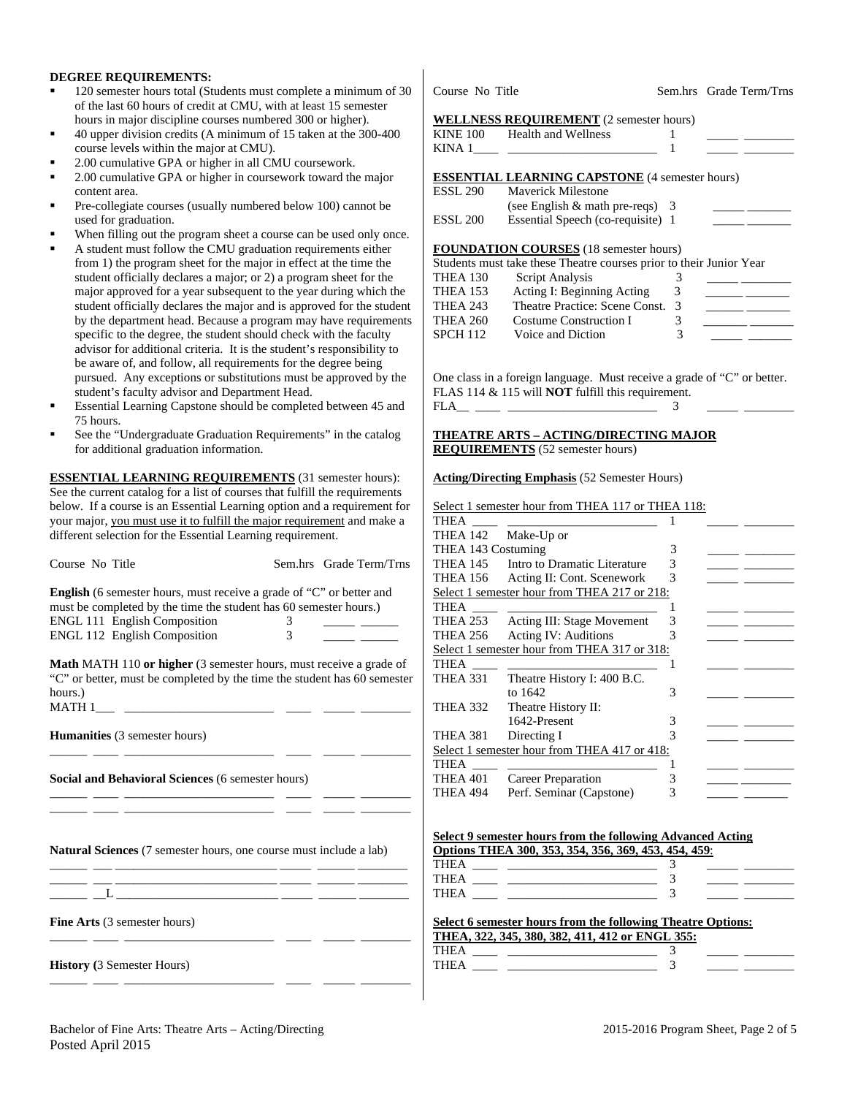#### **DEGREE REQUIREMENTS:**

- 120 semester hours total (Students must complete a minimum of 30 of the last 60 hours of credit at CMU, with at least 15 semester hours in major discipline courses numbered 300 or higher).
- 40 upper division credits (A minimum of 15 taken at the 300-400 course levels within the major at CMU).
- 2.00 cumulative GPA or higher in all CMU coursework.
- 2.00 cumulative GPA or higher in coursework toward the major content area.
- Pre-collegiate courses (usually numbered below 100) cannot be used for graduation.
- When filling out the program sheet a course can be used only once.
- A student must follow the CMU graduation requirements either from 1) the program sheet for the major in effect at the time the student officially declares a major; or 2) a program sheet for the major approved for a year subsequent to the year during which the student officially declares the major and is approved for the student by the department head. Because a program may have requirements specific to the degree, the student should check with the faculty advisor for additional criteria. It is the student's responsibility to be aware of, and follow, all requirements for the degree being pursued. Any exceptions or substitutions must be approved by the student's faculty advisor and Department Head.
- Essential Learning Capstone should be completed between 45 and 75 hours.
- See the "Undergraduate Graduation Requirements" in the catalog for additional graduation information.

**ESSENTIAL LEARNING REQUIREMENTS** (31 semester hours): See the current catalog for a list of courses that fulfill the requirements below. If a course is an Essential Learning option and a requirement for your major, you must use it to fulfill the major requirement and make a different selection for the Essential Learning requirement.

| Course No Title                                                                                                                                                                                  |                | Sem.hrs Grade Term/Trns<br>T             |
|--------------------------------------------------------------------------------------------------------------------------------------------------------------------------------------------------|----------------|------------------------------------------|
| <b>English</b> (6 semester hours, must receive a grade of "C" or better and<br>must be completed by the time the student has 60 semester hours.)                                                 |                | T<br>S <sub>0</sub><br>T                 |
| ENGL 111 English Composition                                                                                                                                                                     | 3 <sup>7</sup> | T                                        |
| ENGL 112 English Composition                                                                                                                                                                     | 3              | T                                        |
| <b>Math MATH 110 or higher</b> (3 semester hours, must receive a grade of<br>"C" or better, must be completed by the time the student has 60 semester<br>hours.)                                 |                | S <sub>0</sub><br>T<br>T<br>T            |
| <b>Humanities</b> (3 semester hours)                                                                                                                                                             |                | T<br>S <sub>0</sub>                      |
| Social and Behavioral Sciences (6 semester hours)<br>the contract of the contract of the contract of the contract of the contract of                                                             |                | T<br>T<br>T                              |
| the control of the control of the control of the control of<br><b>Natural Sciences</b> (7 semester hours, one course must include a lab)<br><u> 2000 - Jan James James James James (j. 1920)</u> |                | $S_{0}$<br>$\overline{0}$<br>T<br>T<br>T |
|                                                                                                                                                                                                  |                |                                          |
| <b>Fine Arts</b> (3 semester hours)                                                                                                                                                              |                | <u>S</u><br>$\overline{\text{T}}$        |
| <b>History</b> (3 Semester Hours)                                                                                                                                                                |                | $\overline{\text{T}}$<br>T               |

Course No Title Sem.hrs Grade Term/Trns

### **WELLNESS REQUIREMENT** (2 semester hours)

|                               | 1                                                                                                                                                                                                                                                                                                                                                                                                                                  |                                                                                                                                                                                                                                                                                                                                                                                                                                                                                                                                                                                                                                                                               |
|-------------------------------|------------------------------------------------------------------------------------------------------------------------------------------------------------------------------------------------------------------------------------------------------------------------------------------------------------------------------------------------------------------------------------------------------------------------------------|-------------------------------------------------------------------------------------------------------------------------------------------------------------------------------------------------------------------------------------------------------------------------------------------------------------------------------------------------------------------------------------------------------------------------------------------------------------------------------------------------------------------------------------------------------------------------------------------------------------------------------------------------------------------------------|
|                               | 1                                                                                                                                                                                                                                                                                                                                                                                                                                  |                                                                                                                                                                                                                                                                                                                                                                                                                                                                                                                                                                                                                                                                               |
|                               |                                                                                                                                                                                                                                                                                                                                                                                                                                    |                                                                                                                                                                                                                                                                                                                                                                                                                                                                                                                                                                                                                                                                               |
|                               |                                                                                                                                                                                                                                                                                                                                                                                                                                    |                                                                                                                                                                                                                                                                                                                                                                                                                                                                                                                                                                                                                                                                               |
| Mayerick Milestone            |                                                                                                                                                                                                                                                                                                                                                                                                                                    |                                                                                                                                                                                                                                                                                                                                                                                                                                                                                                                                                                                                                                                                               |
|                               |                                                                                                                                                                                                                                                                                                                                                                                                                                    |                                                                                                                                                                                                                                                                                                                                                                                                                                                                                                                                                                                                                                                                               |
|                               |                                                                                                                                                                                                                                                                                                                                                                                                                                    |                                                                                                                                                                                                                                                                                                                                                                                                                                                                                                                                                                                                                                                                               |
|                               |                                                                                                                                                                                                                                                                                                                                                                                                                                    |                                                                                                                                                                                                                                                                                                                                                                                                                                                                                                                                                                                                                                                                               |
|                               |                                                                                                                                                                                                                                                                                                                                                                                                                                    |                                                                                                                                                                                                                                                                                                                                                                                                                                                                                                                                                                                                                                                                               |
|                               | 3                                                                                                                                                                                                                                                                                                                                                                                                                                  |                                                                                                                                                                                                                                                                                                                                                                                                                                                                                                                                                                                                                                                                               |
|                               | 3                                                                                                                                                                                                                                                                                                                                                                                                                                  |                                                                                                                                                                                                                                                                                                                                                                                                                                                                                                                                                                                                                                                                               |
|                               | 3 <sup>7</sup>                                                                                                                                                                                                                                                                                                                                                                                                                     |                                                                                                                                                                                                                                                                                                                                                                                                                                                                                                                                                                                                                                                                               |
| <b>Costume Construction I</b> | 3                                                                                                                                                                                                                                                                                                                                                                                                                                  |                                                                                                                                                                                                                                                                                                                                                                                                                                                                                                                                                                                                                                                                               |
| Voice and Diction             | 3                                                                                                                                                                                                                                                                                                                                                                                                                                  |                                                                                                                                                                                                                                                                                                                                                                                                                                                                                                                                                                                                                                                                               |
|                               |                                                                                                                                                                                                                                                                                                                                                                                                                                    |                                                                                                                                                                                                                                                                                                                                                                                                                                                                                                                                                                                                                                                                               |
|                               | 3                                                                                                                                                                                                                                                                                                                                                                                                                                  |                                                                                                                                                                                                                                                                                                                                                                                                                                                                                                                                                                                                                                                                               |
|                               |                                                                                                                                                                                                                                                                                                                                                                                                                                    |                                                                                                                                                                                                                                                                                                                                                                                                                                                                                                                                                                                                                                                                               |
|                               |                                                                                                                                                                                                                                                                                                                                                                                                                                    |                                                                                                                                                                                                                                                                                                                                                                                                                                                                                                                                                                                                                                                                               |
|                               |                                                                                                                                                                                                                                                                                                                                                                                                                                    |                                                                                                                                                                                                                                                                                                                                                                                                                                                                                                                                                                                                                                                                               |
|                               | 1                                                                                                                                                                                                                                                                                                                                                                                                                                  |                                                                                                                                                                                                                                                                                                                                                                                                                                                                                                                                                                                                                                                                               |
|                               |                                                                                                                                                                                                                                                                                                                                                                                                                                    |                                                                                                                                                                                                                                                                                                                                                                                                                                                                                                                                                                                                                                                                               |
|                               | 3                                                                                                                                                                                                                                                                                                                                                                                                                                  |                                                                                                                                                                                                                                                                                                                                                                                                                                                                                                                                                                                                                                                                               |
|                               | KINE 100 Health and Wellness<br>ESSL 290<br>ESSL 200<br>Script Analysis<br>THEA 260<br>$FLA$ and $T = 1$ and $T = 1$ and $T = 1$ and $T = 1$ and $T = 1$ and $T = 1$ and $T = 1$ and $T = 1$ and $T = 1$ and $T = 1$ and $T = 1$ and $T = 1$ and $T = 1$ and $T = 1$ and $T = 1$ and $T = 1$ and $T = 1$ and $T = 1$ and $T = 1$ and $T =$<br><b>REQUIREMENTS</b> (52 semester hours)<br>THEA 142 Make-Up or<br>THEA 143 Costuming | <b>WELLNESS REQUIREMENT</b> (2 semester hours)<br><b>ESSENTIAL LEARNING CAPSTONE</b> (4 semester hours)<br>(see English $&$ math pre-reqs) 3<br>Essential Speech (co-requisite) 1<br><b>FOUNDATION COURSES</b> (18 semester hours)<br>Students must take these Theatre courses prior to their Junior Year<br>Acting I: Beginning Acting<br>Theatre Practice: Scene Const.<br>One class in a foreign language. Must receive a grade of "C" or better.<br>FLAS 114 & 115 will <b>NOT</b> fulfill this requirement.<br><u>THEATRE ARTS – ACTING/DIRECTING MAJOR</u><br><b>Acting/Directing Emphasis</b> (52 Semester Hours)<br>Select 1 semester hour from THEA 117 or THEA 118: |

| THEA               |                                              |   |  |
|--------------------|----------------------------------------------|---|--|
| THEA 142           | Make-Up or                                   |   |  |
| THEA 143 Costuming |                                              | 3 |  |
| THEA 145           | Intro to Dramatic Literature                 | 3 |  |
| <b>THEA 156</b>    | Acting II: Cont. Scenework                   | 3 |  |
|                    | Select 1 semester hour from THEA 217 or 218: |   |  |
| THEA               |                                              |   |  |
| THEA 253           | <b>Acting III: Stage Movement</b>            | 3 |  |
| THEA 256           | Acting IV: Auditions                         |   |  |
|                    | Select 1 semester hour from THEA 317 or 318: |   |  |
| THEA               |                                              |   |  |
| THEA 331           | Theatre History I: 400 B.C.                  |   |  |
|                    | to 1642                                      | 3 |  |
| THEA 332           | Theatre History II:                          |   |  |
|                    | 1642-Present                                 | 3 |  |
| THEA 381           | Directing I                                  |   |  |
|                    | Select 1 semester hour from THEA 417 or 418: |   |  |
| THEA               |                                              |   |  |
| THEA 401           | Career Preparation                           |   |  |
| THEA 494           | Perf. Seminar (Capstone)                     |   |  |

| Select 9 semester hours from the following Advanced Acting |  |  |  |  |  |
|------------------------------------------------------------|--|--|--|--|--|
| Ontions THEA 300 353 354 356 369 453 454 459.              |  |  |  |  |  |

|       | $\sigma$ buons then you you you we would you tought to the top. |  |  |
|-------|-----------------------------------------------------------------|--|--|
| THEA  |                                                                 |  |  |
| THEA  |                                                                 |  |  |
| THF A |                                                                 |  |  |
|       |                                                                 |  |  |

|             | Select 6 semester hours from the following Theatre Options: |  |  |
|-------------|-------------------------------------------------------------|--|--|
|             | THEA, 322, 345, 380, 382, 411, 412 or ENGL 355:             |  |  |
| <b>THEA</b> |                                                             |  |  |
| <b>THEA</b> |                                                             |  |  |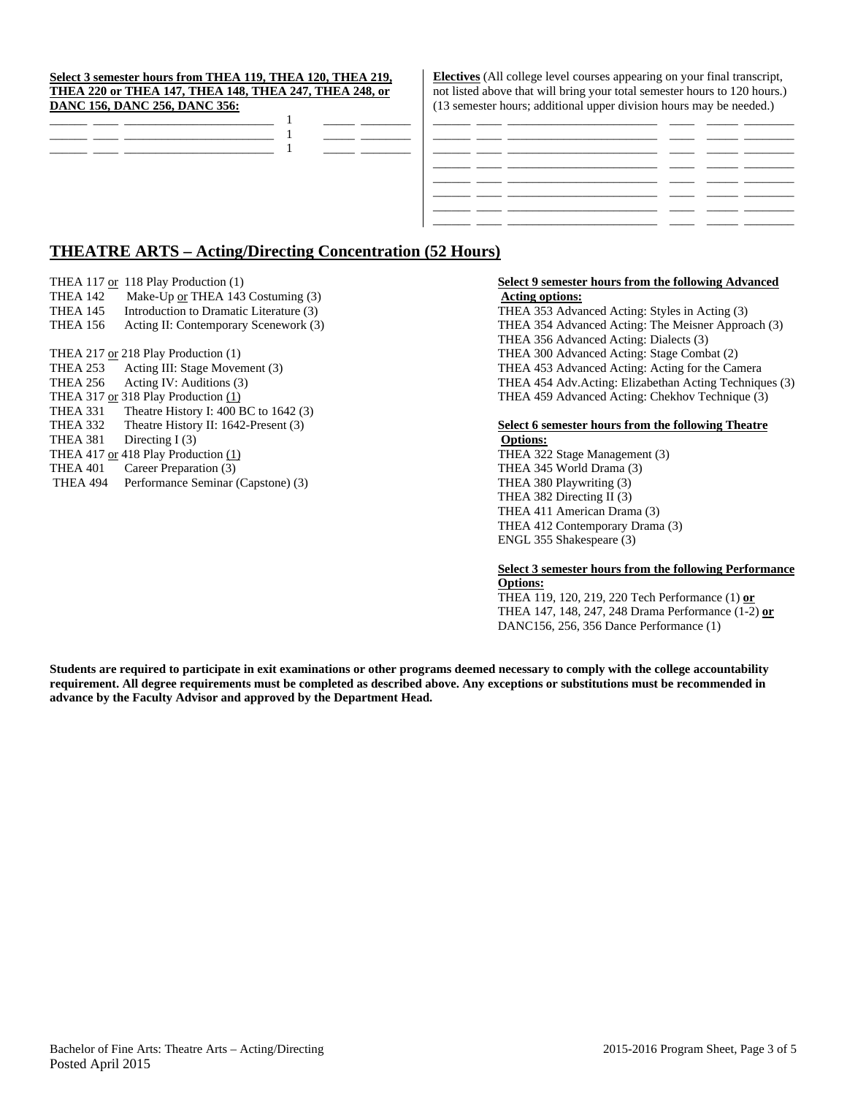#### **Select 3 semester hours from THEA 119, THEA 120, THEA 219, THEA 220 or THEA 147, THEA 148, THEA 247, THEA 248, or DANC 156, DANC 256, DANC 356:**

**Electives** (All college level courses appearing on your final transcript, not listed above that will bring your total semester hours to 120 hours.) (13 semester hours; additional upper division hours may be needed.)

## **THEATRE ARTS – Acting/Directing Concentration (52 Hours)**

- 
- THEA 142 Make-Up <u>or</u> THEA 143 Costuming (3) **Acting options:**<br>
THEA 145 Introduction to Dramatic Literature (3) **Acting options:**<br>
THEA 353 Adva
- THEA 145 Introduction to Dramatic Literature (3) THEA 353 Advanced Acting: Styles in Acting (3)
- 

- 
- 
- 
- THEA 331 Theatre History I: 400 BC to 1642 (3)
- 
- THEA 381 Directing I (3) **Options:**
- 
- 
- THEA 494 Performance Seminar (Capstone) (3) THEA 380 Playwriting (3)

# THEA 117 or 118 Play Production (1) **Select 9 semester hours from the following Advanced**

THEA 156 Acting II: Contemporary Scenework (3) THEA 354 Advanced Acting: The Meisner Approach (3) THEA 356 Advanced Acting: Dialects (3) THEA 217 or 218 Play Production (1) THEA 300 Advanced Acting: Stage Combat (2) THEA 253 Acting III: Stage Movement (3) THEA 453 Advanced Acting: Acting for the Camera THEA 256 Acting IV: Auditions (3) THEA 454 Adv.Acting: Elizabethan Acting Techniques (3) THEA 317 or 318 Play Production (1) THEA 459 Advanced Acting: Chekhov Technique (3)

#### THEA 332 Theatre History II: 1642-Present (3) **Select 6 semester hours from the following Theatre**

THEA 417 or 418 Play Production (1) THEA 322 Stage Management (3) THEA 401 Career Preparation (3) THEA 345 World Drama (3) THEA 382 Directing II (3) THEA 411 American Drama (3) THEA 412 Contemporary Drama (3) ENGL 355 Shakespeare (3)

#### **Select 3 semester hours from the following Performance Options:**

 THEA 119, 120, 219, 220 Tech Performance (1) **or**  THEA 147, 148, 247, 248 Drama Performance (1-2) **or**  DANC156, 256, 356 Dance Performance (1)

**Students are required to participate in exit examinations or other programs deemed necessary to comply with the college accountability requirement. All degree requirements must be completed as described above. Any exceptions or substitutions must be recommended in advance by the Faculty Advisor and approved by the Department Head.**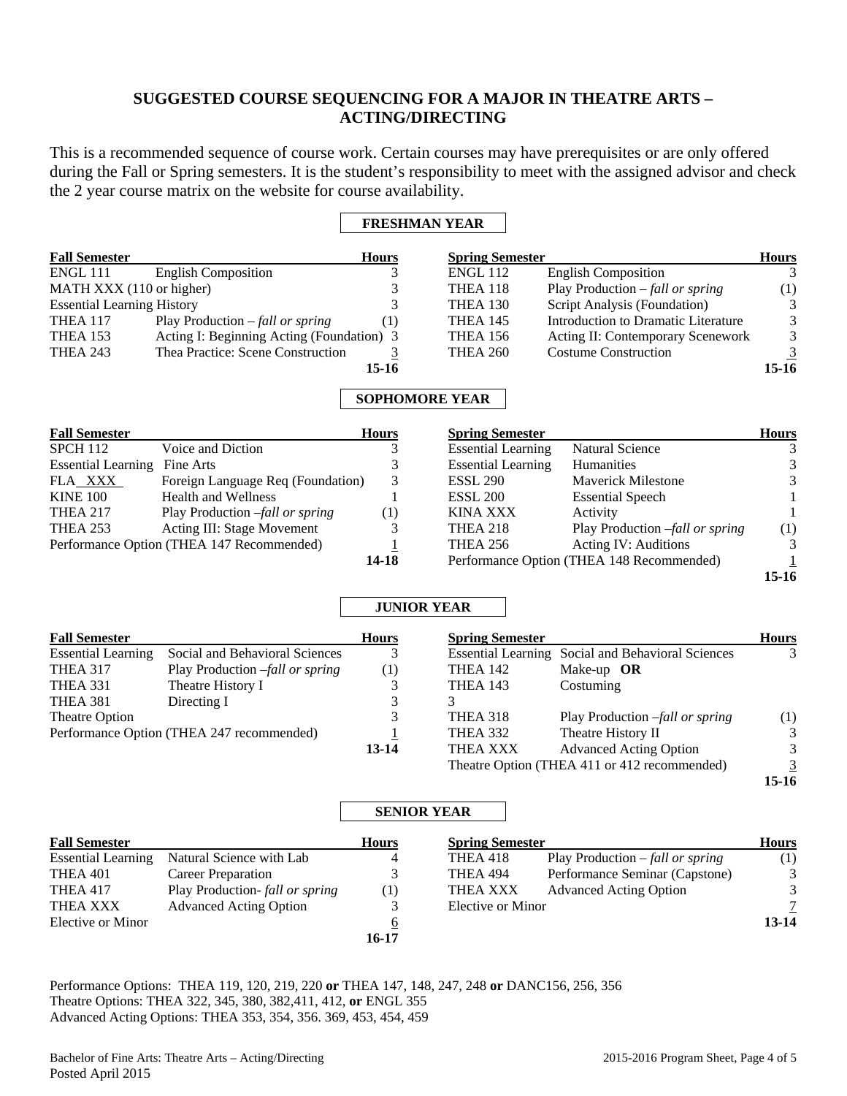# **SUGGESTED COURSE SEQUENCING FOR A MAJOR IN THEATRE ARTS – ACTING/DIRECTING**

This is a recommended sequence of course work. Certain courses may have prerequisites or are only offered during the Fall or Spring semesters. It is the student's responsibility to meet with the assigned advisor and check the 2 year course matrix on the website for course availability.

#### **FRESHMAN YEAR**

| <b>Fall Semester</b>              |                                           | <b>Hours</b> | <b>Spring Semester</b> |                                          | <b>Hours</b> |
|-----------------------------------|-------------------------------------------|--------------|------------------------|------------------------------------------|--------------|
| <b>ENGL 111</b>                   | <b>English Composition</b>                |              | <b>ENGL 112</b>        | <b>English Composition</b>               |              |
| MATH XXX (110 or higher)          |                                           |              | THEA 118               | Play Production $-\text{fall or spring}$ | (1)          |
| <b>Essential Learning History</b> |                                           |              | THEA 130               | Script Analysis (Foundation)             | 3            |
| <b>THEA 117</b>                   | Play Production $-\text{fall or spring}$  | (1)          | <b>THEA 145</b>        | Introduction to Dramatic Literature      | 3            |
| <b>THEA 153</b>                   | Acting I: Beginning Acting (Foundation) 3 |              | <b>THEA 156</b>        | Acting II: Contemporary Scenework        | 3            |
| <b>THEA 243</b>                   | Thea Practice: Scene Construction         |              | <b>THEA 260</b>        | <b>Costume Construction</b>              | 3            |
|                                   |                                           | 15-16        |                        |                                          | $15-16$      |

### **SOPHOMORE YEAR**

| <b>Fall Semester</b>      |                                           | <b>Hours</b>     | <b>Spring Semester</b>    |                                           | <b>Hours</b> |
|---------------------------|-------------------------------------------|------------------|---------------------------|-------------------------------------------|--------------|
| <b>SPCH 112</b>           | Voice and Diction                         |                  | <b>Essential Learning</b> | <b>Natural Science</b>                    | 3            |
| <b>Essential Learning</b> | Fine Arts                                 |                  | <b>Essential Learning</b> | <b>Humanities</b>                         | 3            |
| FLA XXX                   | Foreign Language Req (Foundation)         | 3                | <b>ESSL 290</b>           | <b>Maverick Milestone</b>                 | 3            |
| <b>KINE 100</b>           | <b>Health and Wellness</b>                |                  | <b>ESSL 200</b>           | <b>Essential Speech</b>                   |              |
| <b>THEA 217</b>           | Play Production -fall or spring           | $\left(1\right)$ | <b>KINA XXX</b>           | Activity                                  |              |
| <b>THEA 253</b>           | Acting III: Stage Movement                |                  | <b>THEA 218</b>           | Play Production -fall or spring           | (1)          |
|                           | Performance Option (THEA 147 Recommended) |                  | <b>THEA 256</b>           | Acting IV: Auditions                      | 3            |
|                           |                                           | 14-18            |                           | Performance Option (THEA 148 Recommended) |              |
|                           |                                           |                  |                           |                                           | $15-16$      |

#### **JUNIOR YEAR**

| <b>Fall Semester</b>      |                                           | <b>Hours</b> | <b>Spring Semester</b> |                                                          | <b>Hours</b> |
|---------------------------|-------------------------------------------|--------------|------------------------|----------------------------------------------------------|--------------|
| <b>Essential Learning</b> | Social and Behavioral Sciences            | 3            |                        | <b>Essential Learning Social and Behavioral Sciences</b> | 3            |
| <b>THEA 317</b>           | Play Production -fall or spring           | (1)          | <b>THEA 142</b>        | Make-up $OR$                                             |              |
| THEA 331                  | Theatre History I                         |              | <b>THEA 143</b>        | Costuming                                                |              |
| THEA 381                  | Directing I                               | 3            |                        |                                                          |              |
| Theatre Option            |                                           | 3            | THEA 318               | Play Production -fall or spring                          | (1)          |
|                           | Performance Option (THEA 247 recommended) |              | THEA 332               | Theatre History II                                       | 3            |
|                           |                                           | $13 - 14$    | <b>THEA XXX</b>        | <b>Advanced Acting Option</b>                            | 3            |
|                           |                                           |              |                        | Theatre Option (THEA 411 or 412 recommended)             | 3            |
|                           |                                           |              |                        |                                                          | 15-16        |

**15-16**

#### **SENIOR YEAR**

| <b>Fall Semester</b>      |                                | <b>Hours</b>        | <b>Spring Semester</b> |                                       | <b>Hours</b> |
|---------------------------|--------------------------------|---------------------|------------------------|---------------------------------------|--------------|
| <b>Essential Learning</b> | Natural Science with Lab       | 4                   | THEA 418               | Play Production $-fall \ or \ spring$ | (1)          |
| THEA 401                  | Career Preparation             |                     | THEA 494               | Performance Seminar (Capstone)        | 3            |
| <b>THEA 417</b>           | Play Production-fall or spring | (1)                 | THEA XXX               | <b>Advanced Acting Option</b>         | 3            |
| THEA XXX                  | <b>Advanced Acting Option</b>  |                     | Elective or Minor      |                                       | 7            |
| Elective or Minor         |                                | <u><sub>0</sub></u> |                        |                                       | $13 - 14$    |
|                           |                                | 16-17               |                        |                                       |              |

Performance Options: THEA 119, 120, 219, 220 **or** THEA 147, 148, 247, 248 **or** DANC156, 256, 356 Theatre Options: THEA 322, 345, 380, 382,411, 412, **or** ENGL 355 Advanced Acting Options: THEA 353, 354, 356. 369, 453, 454, 459